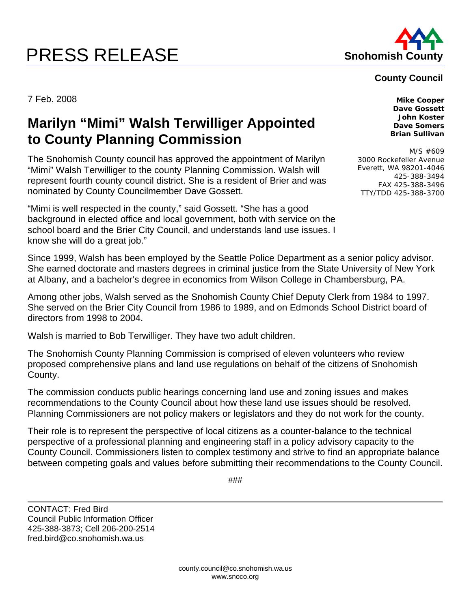## **PRESS RELEASE Shohomish County**



## **County Council**

7 Feb. 2008 **Mike Cooper** 

## **Marilyn "Mimi" Walsh Terwilliger Appointed to County Planning Commission**

The Snohomish County council has approved the appointment of Marilyn "Mimi" Walsh Terwilliger to the county Planning Commission. Walsh will represent fourth county council district. She is a resident of Brier and was nominated by County Councilmember Dave Gossett.

"Mimi is well respected in the county," said Gossett. "She has a good background in elected office and local government, both with service on the school board and the Brier City Council, and understands land use issues. I know she will do a great job."

Since 1999, Walsh has been employed by the Seattle Police Department as a senior policy advisor. She earned doctorate and masters degrees in criminal justice from the State University of New York at Albany, and a bachelor's degree in economics from Wilson College in Chambersburg, PA.

Among other jobs, Walsh served as the Snohomish County Chief Deputy Clerk from 1984 to 1997. She served on the Brier City Council from 1986 to 1989, and on Edmonds School District board of directors from 1998 to 2004.

Walsh is married to Bob Terwilliger. They have two adult children.

The Snohomish County Planning Commission is comprised of eleven volunteers who review proposed comprehensive plans and land use regulations on behalf of the citizens of Snohomish County.

The commission conducts public hearings concerning land use and zoning issues and makes recommendations to the County Council about how these land use issues should be resolved. Planning Commissioners are not policy makers or legislators and they do not work for the county.

Their role is to represent the perspective of local citizens as a counter-balance to the technical perspective of a professional planning and engineering staff in a policy advisory capacity to the County Council. Commissioners listen to complex testimony and strive to find an appropriate balance between competing goals and values before submitting their recommendations to the County Council.

###

CONTACT: Fred Bird Council Public Information Officer 425-388-3873; Cell 206-200-2514 fred.bird@co.snohomish.wa.us

**Dave Gossett John Koster Dave Somers Brian Sullivan** 

M/S #609 3000 Rockefeller Avenue Everett, WA 98201-4046 425-388-3494 FAX 425-388-3496 TTY/TDD 425-388-3700